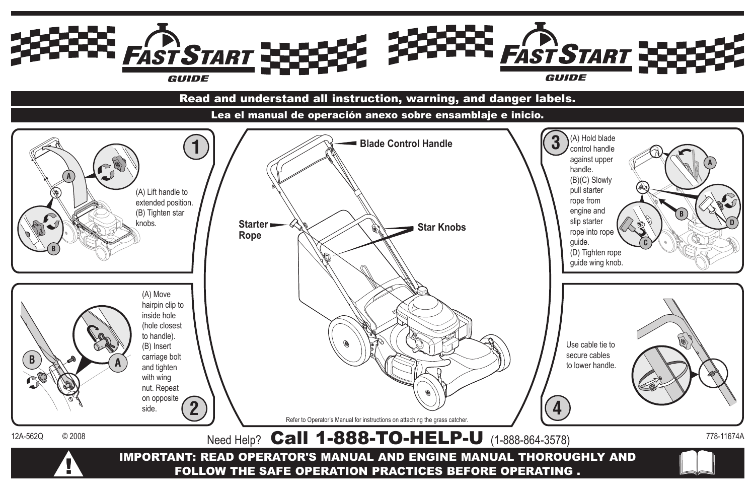

# Read and understand all instruction, warning, and danger labels.

Lea el manual de operación anexo sobre ensamblaje e inicio.